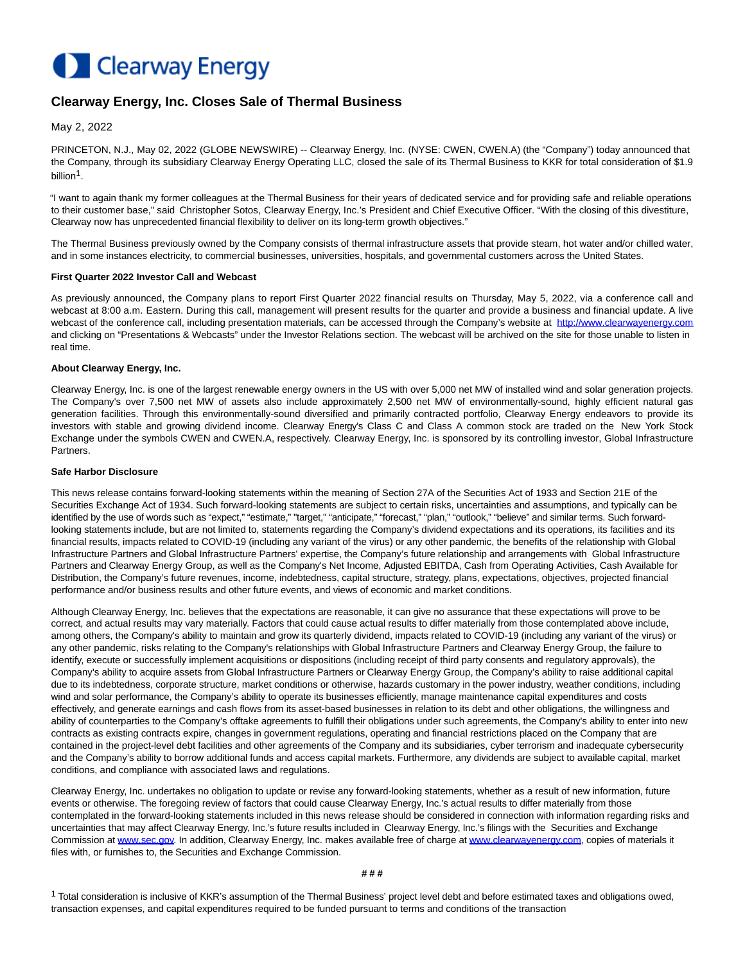# **Clearway Energy**

## **Clearway Energy, Inc. Closes Sale of Thermal Business**

May 2, 2022

PRINCETON, N.J., May 02, 2022 (GLOBE NEWSWIRE) -- Clearway Energy, Inc. (NYSE: CWEN, CWEN.A) (the "Company") today announced that the Company, through its subsidiary Clearway Energy Operating LLC, closed the sale of its Thermal Business to KKR for total consideration of \$1.9 billion<sup>1</sup>.

"I want to again thank my former colleagues at the Thermal Business for their years of dedicated service and for providing safe and reliable operations to their customer base," said Christopher Sotos, Clearway Energy, Inc.'s President and Chief Executive Officer. "With the closing of this divestiture, Clearway now has unprecedented financial flexibility to deliver on its long-term growth objectives."

The Thermal Business previously owned by the Company consists of thermal infrastructure assets that provide steam, hot water and/or chilled water, and in some instances electricity, to commercial businesses, universities, hospitals, and governmental customers across the United States.

#### **First Quarter 2022 Investor Call and Webcast**

As previously announced, the Company plans to report First Quarter 2022 financial results on Thursday, May 5, 2022, via a conference call and webcast at 8:00 a.m. Eastern. During this call, management will present results for the quarter and provide a business and financial update. A live webcast of the conference call, including presentation materials, can be accessed through the Company's website at [http://www.clearwayenergy.com](https://www.globenewswire.com/Tracker?data=0yQpnA-DmybXMaf3YLZeHw30VgGLz8mvd1xbFQO_npRWVTHg00Ty8xleJhK2U9MGVaRKTzLjtlDiWAhyM-fBRiwSz57OC-qEXYNkBADZKv0=) and clicking on "Presentations & Webcasts" under the Investor Relations section. The webcast will be archived on the site for those unable to listen in real time.

#### **About Clearway Energy, Inc.**

Clearway Energy, Inc. is one of the largest renewable energy owners in the US with over 5,000 net MW of installed wind and solar generation projects. The Company's over 7,500 net MW of assets also include approximately 2,500 net MW of environmentally-sound, highly efficient natural gas generation facilities. Through this environmentally-sound diversified and primarily contracted portfolio, Clearway Energy endeavors to provide its investors with stable and growing dividend income. Clearway Energy's Class C and Class A common stock are traded on the New York Stock Exchange under the symbols CWEN and CWEN.A, respectively. Clearway Energy, Inc. is sponsored by its controlling investor, Global Infrastructure Partners.

### **Safe Harbor Disclosure**

This news release contains forward-looking statements within the meaning of Section 27A of the Securities Act of 1933 and Section 21E of the Securities Exchange Act of 1934. Such forward-looking statements are subject to certain risks, uncertainties and assumptions, and typically can be identified by the use of words such as "expect," "estimate," "target," "anticipate," "forecast," "plan," "outlook," "believe" and similar terms. Such forwardlooking statements include, but are not limited to, statements regarding the Company's dividend expectations and its operations, its facilities and its financial results, impacts related to COVID-19 (including any variant of the virus) or any other pandemic, the benefits of the relationship with Global Infrastructure Partners and Global Infrastructure Partners' expertise, the Company's future relationship and arrangements with Global Infrastructure Partners and Clearway Energy Group, as well as the Company's Net Income, Adjusted EBITDA, Cash from Operating Activities, Cash Available for Distribution, the Company's future revenues, income, indebtedness, capital structure, strategy, plans, expectations, objectives, projected financial performance and/or business results and other future events, and views of economic and market conditions.

Although Clearway Energy, Inc. believes that the expectations are reasonable, it can give no assurance that these expectations will prove to be correct, and actual results may vary materially. Factors that could cause actual results to differ materially from those contemplated above include, among others, the Company's ability to maintain and grow its quarterly dividend, impacts related to COVID-19 (including any variant of the virus) or any other pandemic, risks relating to the Company's relationships with Global Infrastructure Partners and Clearway Energy Group, the failure to identify, execute or successfully implement acquisitions or dispositions (including receipt of third party consents and regulatory approvals), the Company's ability to acquire assets from Global Infrastructure Partners or Clearway Energy Group, the Company's ability to raise additional capital due to its indebtedness, corporate structure, market conditions or otherwise, hazards customary in the power industry, weather conditions, including wind and solar performance, the Company's ability to operate its businesses efficiently, manage maintenance capital expenditures and costs effectively, and generate earnings and cash flows from its asset-based businesses in relation to its debt and other obligations, the willingness and ability of counterparties to the Company's offtake agreements to fulfill their obligations under such agreements, the Company's ability to enter into new contracts as existing contracts expire, changes in government regulations, operating and financial restrictions placed on the Company that are contained in the project-level debt facilities and other agreements of the Company and its subsidiaries, cyber terrorism and inadequate cybersecurity and the Company's ability to borrow additional funds and access capital markets. Furthermore, any dividends are subject to available capital, market conditions, and compliance with associated laws and regulations.

Clearway Energy, Inc. undertakes no obligation to update or revise any forward-looking statements, whether as a result of new information, future events or otherwise. The foregoing review of factors that could cause Clearway Energy, Inc.'s actual results to differ materially from those contemplated in the forward-looking statements included in this news release should be considered in connection with information regarding risks and uncertainties that may affect Clearway Energy, Inc.'s future results included in Clearway Energy, Inc.'s filings with the Securities and Exchange Commission at [www.sec.gov.](http://www.sec.gov/) In addition, Clearway Energy, Inc. makes available free of charge at [www.clearwayenergy.com,](http://www.clearwayenergy.com/) copies of materials it files with, or furnishes to, the Securities and Exchange Commission.

#### **# # #**

<sup>1</sup> Total consideration is inclusive of KKR's assumption of the Thermal Business' project level debt and before estimated taxes and obligations owed, transaction expenses, and capital expenditures required to be funded pursuant to terms and conditions of the transaction